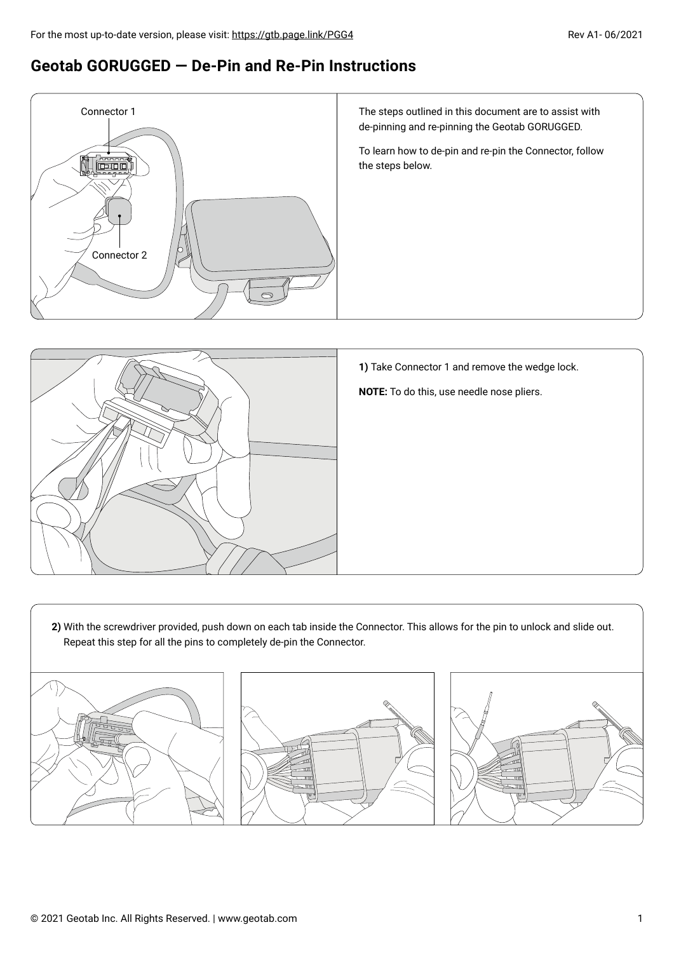## **Geotab GORUGGED — De-Pin and Re-Pin Instructions**





**1)** Take Connector 1 and remove the wedge lock.

**NOTE:** To do this, use needle nose pliers.

**2)** With the screwdriver provided, push down on each tab inside the Connector. This allows for the pin to unlock and slide out. Repeat this step for all the pins to completely de-pin the Connector.